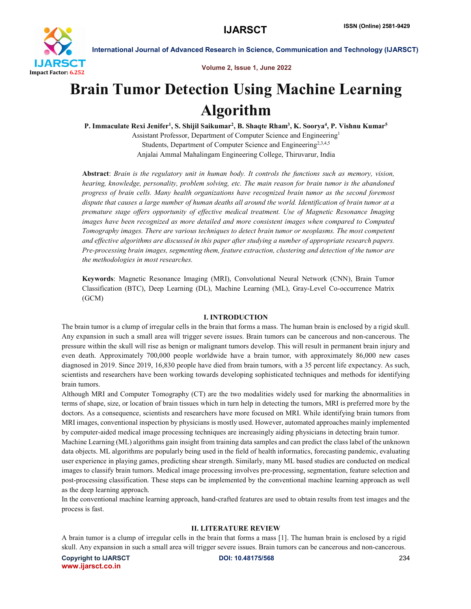

Volume 2, Issue 1, June 2022

# Brain Tumor Detection Using Machine Learning Algorithm

P. Immaculate Rexi Jenifer<sup>1</sup>, S. Shijil Saikumar<sup>2</sup>, B. Shaqte Rham<sup>3</sup>, K. Soorya<sup>4</sup>, P. Vishnu Kumar<sup>5</sup> Assistant Professor, Department of Computer Science and Engineering1 Students, Department of Computer Science and Engineering<sup>2,3,4,5</sup> Anjalai Ammal Mahalingam Engineering College, Thiruvarur, India

Abstract: *Brain is the regulatory unit in human body. It controls the functions such as memory, vision, hearing, knowledge, personality, problem solving, etc. The main reason for brain tumor is the abandoned progress of brain cells. Many health organizations have recognized brain tumor as the second foremost dispute that causes a large number of human deaths all around the world. Identification of brain tumor at a premature stage offers opportunity of effective medical treatment. Use of Magnetic Resonance Imaging images have been recognized as more detailed and more consistent images when compared to Computed Tomography images. There are various techniques to detect brain tumor or neoplasms. The most competent and effective algorithms are discussed in this paper after studying a number of appropriate research papers. Pre-processing brain images, segmenting them, feature extraction, clustering and detection of the tumor are the methodologies in most researches.*

Keywords: Magnetic Resonance Imaging (MRI), Convolutional Neural Network (CNN), Brain Tumor Classification (BTC), Deep Learning (DL), Machine Learning (ML), Gray-Level Co-occurrence Matrix (GCM)

#### I. INTRODUCTION

The brain tumor is a clump of irregular cells in the brain that forms a mass. The human brain is enclosed by a rigid skull. Any expansion in such a small area will trigger severe issues. Brain tumors can be cancerous and non-cancerous. The pressure within the skull will rise as benign or malignant tumors develop. This will result in permanent brain injury and even death. Approximately 700,000 people worldwide have a brain tumor, with approximately 86,000 new cases diagnosed in 2019. Since 2019, 16,830 people have died from brain tumors, with a 35 percent life expectancy. As such, scientists and researchers have been working towards developing sophisticated techniques and methods for identifying brain tumors.

Although MRI and Computer Tomography (CT) are the two modalities widely used for marking the abnormalities in terms of shape, size, or location of brain tissues which in turn help in detecting the tumors, MRI is preferred more by the doctors. As a consequence, scientists and researchers have more focused on MRI. While identifying brain tumors from MRI images, conventional inspection by physicians is mostly used. However, automated approaches mainly implemented by computer-aided medical image processing techniques are increasingly aiding physicians in detecting brain tumor.

Machine Learning (ML) algorithms gain insight from training data samples and can predict the class label of the unknown data objects. ML algorithms are popularly being used in the field of health informatics, forecasting pandemic, evaluating user experience in playing games, predicting shear strength. Similarly, many ML based studies are conducted on medical images to classify brain tumors. Medical image processing involves pre-processing, segmentation, feature selection and post-processing classification. These steps can be implemented by the conventional machine learning approach as well as the deep learning approach.

In the conventional machine learning approach, hand-crafted features are used to obtain results from test images and the process is fast.

#### II. LITERATURE REVIEW

A brain tumor is a clump of irregular cells in the brain that forms a mass [1]. The human brain is enclosed by a rigid skull. Any expansion in such a small area will trigger severe issues. Brain tumors can be cancerous and non-cancerous.

Copyright to IJARSCT **DOI: 10.48175/568** 234 www.ijarsct.co.in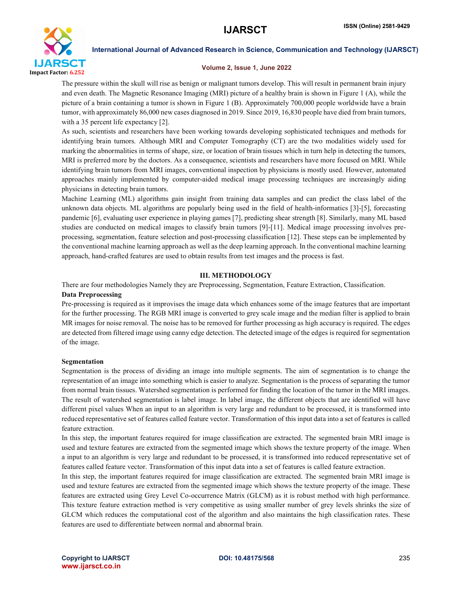

#### Volume 2, Issue 1, June 2022

The pressure within the skull will rise as benign or malignant tumors develop. This will result in permanent brain injury and even death. The Magnetic Resonance Imaging (MRI) picture of a healthy brain is shown in Figure 1 (A), while the picture of a brain containing a tumor is shown in Figure 1 (B). Approximately 700,000 people worldwide have a brain tumor, with approximately 86,000 new cases diagnosed in 2019. Since 2019, 16,830 people have died from brain tumors, with a 35 percent life expectancy [2].

As such, scientists and researchers have been working towards developing sophisticated techniques and methods for identifying brain tumors. Although MRI and Computer Tomography (CT) are the two modalities widely used for marking the abnormalities in terms of shape, size, or location of brain tissues which in turn help in detecting the tumors, MRI is preferred more by the doctors. As a consequence, scientists and researchers have more focused on MRI. While identifying brain tumors from MRI images, conventional inspection by physicians is mostly used. However, automated approaches mainly implemented by computer-aided medical image processing techniques are increasingly aiding physicians in detecting brain tumors.

Machine Learning (ML) algorithms gain insight from training data samples and can predict the class label of the unknown data objects. ML algorithms are popularly being used in the field of health-informatics [3]-[5], forecasting pandemic [6], evaluating user experience in playing games [7], predicting shear strength [8]. Similarly, many ML based studies are conducted on medical images to classify brain tumors [9]-[11]. Medical image processing involves preprocessing, segmentation, feature selection and post-processing classification [12]. These steps can be implemented by the conventional machine learning approach as well as the deep learning approach. In the conventional machine learning approach, hand-crafted features are used to obtain results from test images and the process is fast.

#### III. METHODOLOGY

There are four methodologies Namely they are Preprocessing, Segmentation, Feature Extraction, Classification. Data Preprocessing

Pre-processing is required as it improvises the image data which enhances some of the image features that are important for the further processing. The RGB MRI image is converted to grey scale image and the median filter is applied to brain MR images for noise removal. The noise has to be removed for further processing as high accuracy is required. The edges are detected from filtered image using canny edge detection. The detected image of the edges is required for segmentation of the image.

#### Segmentation

Segmentation is the process of dividing an image into multiple segments. The aim of segmentation is to change the representation of an image into something which is easier to analyze. Segmentation is the process of separating the tumor from normal brain tissues. Watershed segmentation is performed for finding the location of the tumor in the MRI images. The result of watershed segmentation is label image. In label image, the different objects that are identified will have different pixel values When an input to an algorithm is very large and redundant to be processed, it is transformed into reduced representative set of features called feature vector. Transformation of this input data into a set of features is called feature extraction.

In this step, the important features required for image classification are extracted. The segmented brain MRI image is used and texture features are extracted from the segmented image which shows the texture property of the image. When a input to an algorithm is very large and redundant to be processed, it is transformed into reduced representative set of features called feature vector. Transformation of this input data into a set of features is called feature extraction.

In this step, the important features required for image classification are extracted. The segmented brain MRI image is used and texture features are extracted from the segmented image which shows the texture property of the image. These features are extracted using Grey Level Co-occurrence Matrix (GLCM) as it is robust method with high performance. This texture feature extraction method is very competitive as using smaller number of grey levels shrinks the size of GLCM which reduces the computational cost of the algorithm and also maintains the high classification rates. These features are used to differentiate between normal and abnormal brain.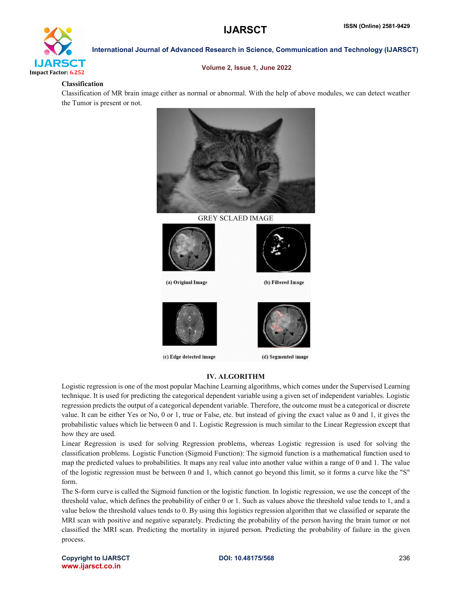

#### Volume 2, Issue 1, June 2022

#### Classification

Classification of MR brain image either as normal or abnormal. With the help of above modules, we can detect weather the Tumor is present or not.



GREY SCLAED IMAGE



(a) Original Image



(c) Edge detected image



(b) Filtered Image



(d) Segmented image

## IV. ALGORITHM

Logistic regression is one of the most popular Machine Learning algorithms, which comes under the Supervised Learning technique. It is used for predicting the categorical dependent variable using a given set of independent variables. Logistic regression predicts the output of a categorical dependent variable. Therefore, the outcome must be a categorical or discrete value. It can be either Yes or No, 0 or 1, true or False, etc. but instead of giving the exact value as 0 and 1, it gives the probabilistic values which lie between 0 and 1. Logistic Regression is much similar to the Linear Regression except that how they are used.

Linear Regression is used for solving Regression problems, whereas Logistic regression is used for solving the classification problems. Logistic Function (Sigmoid Function): The sigmoid function is a mathematical function used to map the predicted values to probabilities. It maps any real value into another value within a range of 0 and 1. The value of the logistic regression must be between 0 and 1, which cannot go beyond this limit, so it forms a curve like the "S" form.

The S-form curve is called the Sigmoid function or the logistic function. In logistic regression, we use the concept of the threshold value, which defines the probability of either 0 or 1. Such as values above the threshold value tends to 1, and a value below the threshold values tends to 0. By using this logistics regression algorithm that we classified or separate the MRI scan with positive and negative separately. Predicting the probability of the person having the brain tumor or not classified the MRI scan. Predicting the mortality in injured person. Predicting the probability of failure in the given process.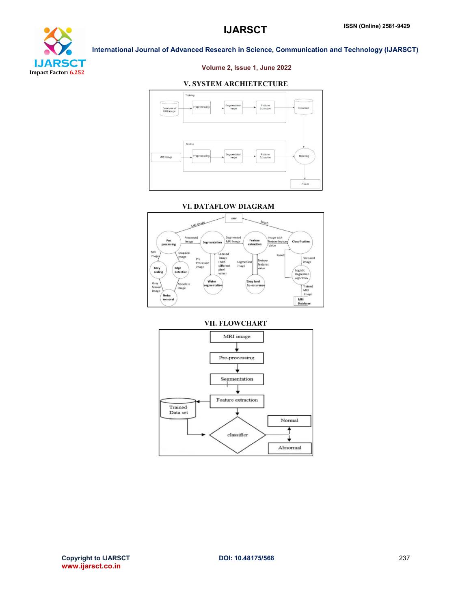

#### Volume 2, Issue 1, June 2022

#### V. SYSTEM ARCHIETECTURE



#### VI. DATAFLOW DIAGRAM



## VII. FLOWCHART $\overline{\text{MRI}}$ image Pre-processing Segmentation Feature extraction Trained<br>Data set Normal classifier Abnormal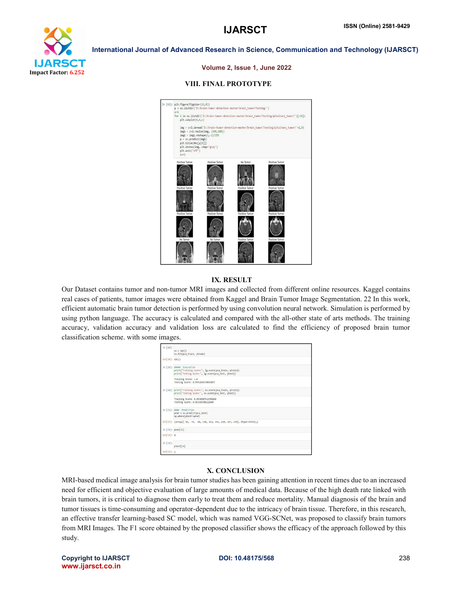



#### Volume 2, Issue 1, June 2022

#### VIII. FINAL PROTOTYPE



#### IX. RESULT

Our Dataset contains tumor and non-tumor MRI images and collected from different online resources. Kaggel contains real cases of patients, tumor images were obtained from Kaggel and Brain Tumor Image Segmentation. 22 In this work, efficient automatic brain tumor detection is performed by using convolution neural network. Simulation is performed by using python language. The accuracy is calculated and compared with the all-other state of arts methods. The training accuracy, validation accuracy and validation loss are calculated to find the efficiency of proposed brain tumor classification scheme. with some images.

| In $[28]$ :       | $SV = SVC()$<br>sv.fit(pca train, ytrain)                                                                                                |
|-------------------|------------------------------------------------------------------------------------------------------------------------------------------|
| $Out[28]:$ SVC()  |                                                                                                                                          |
|                   | In [29]: manns Evaluation<br>print("Training Score:", lg.score(pca_train, ytrain))<br>print("Testing Score:", lg.score(pca test, ytest)) |
|                   | Training Score: 1.0<br>Testing Score: 0.9591836734693877                                                                                 |
|                   | In [30]: print("Training Score:", sv.score(pca train, ytrain))<br>print("Testing Score:", sv.score(pca_test, ytest))                     |
|                   | Training Score: 0.9938587512794268<br>Testing Score: 0.963265306122449                                                                   |
|                   | In [31]: #### Prediction<br>$pred = sv.predict(pca test)$<br>np.where(ytest!=pred)                                                       |
|                   | Out[31]: (array([ 36, 51, 68, 120, 212, 214, 220, 227, 239], dtype=int64),)                                                              |
| In [32]: pred[36] |                                                                                                                                          |
| Out[32]: 0        |                                                                                                                                          |
| In $[33]$ :       | ytest[36]                                                                                                                                |
| Out[33]: 1        |                                                                                                                                          |

#### X. CONCLUSION

MRI-based medical image analysis for brain tumor studies has been gaining attention in recent times due to an increased need for efficient and objective evaluation of large amounts of medical data. Because of the high death rate linked with brain tumors, it is critical to diagnose them early to treat them and reduce mortality. Manual diagnosis of the brain and tumor tissues is time-consuming and operator-dependent due to the intricacy of brain tissue. Therefore, in this research, an effective transfer learning-based SC model, which was named VGG-SCNet, was proposed to classify brain tumors from MRI Images. The F1 score obtained by the proposed classifier shows the efficacy of the approach followed by this study.